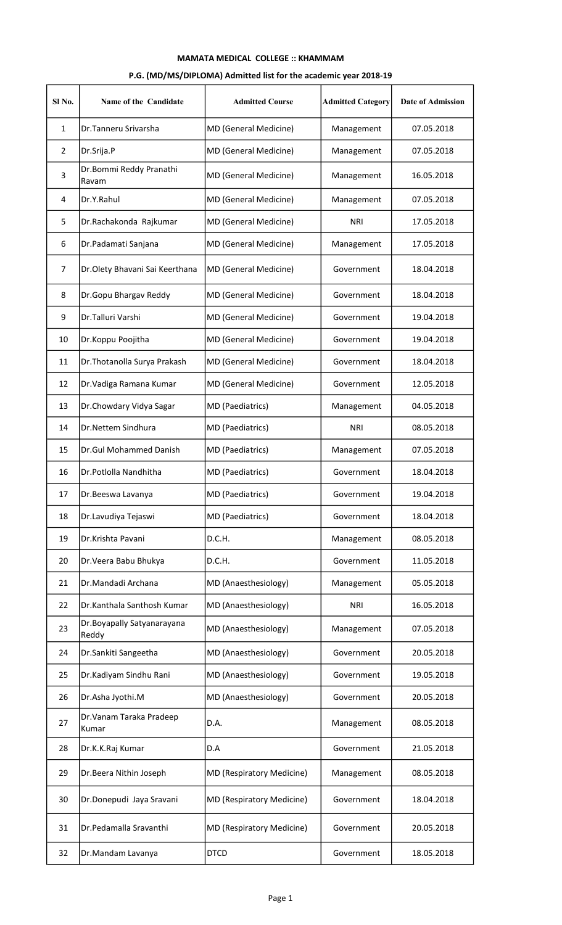## MAMATA MEDICAL COLLEGE :: KHAMMAM

## P.G. (MD/MS/DIPLOMA) Admitted list for the academic year 2018-19

| Sl No.         | Name of the Candidate                | <b>Admitted Course</b>           | <b>Admitted Category</b> | <b>Date of Admission</b> |
|----------------|--------------------------------------|----------------------------------|--------------------------|--------------------------|
| 1              | Dr.Tanneru Srivarsha                 | MD (General Medicine)            | Management               | 07.05.2018               |
| $\overline{2}$ | Dr.Srija.P                           | MD (General Medicine)            | Management               | 07.05.2018               |
| 3              | Dr.Bommi Reddy Pranathi<br>Ravam     | MD (General Medicine)            | Management               | 16.05.2018               |
| 4              | Dr.Y.Rahul                           | <b>MD (General Medicine)</b>     | Management               | 07.05.2018               |
| 5              | Dr.Rachakonda Rajkumar               | MD (General Medicine)            | <b>NRI</b>               | 17.05.2018               |
| 6              | Dr.Padamati Sanjana                  | MD (General Medicine)            | Management               | 17.05.2018               |
| $\overline{7}$ | Dr.Olety Bhavani Sai Keerthana       | MD (General Medicine)            | Government               | 18.04.2018               |
| 8              | Dr.Gopu Bhargav Reddy                | MD (General Medicine)            | Government               | 18.04.2018               |
| 9              | Dr.Talluri Varshi                    | MD (General Medicine)            | Government               | 19.04.2018               |
| 10             | Dr.Koppu Poojitha                    | MD (General Medicine)            | Government               | 19.04.2018               |
| 11             | Dr. Thotanolla Surya Prakash         | MD (General Medicine)            | Government               | 18.04.2018               |
| 12             | Dr. Vadiga Ramana Kumar              | <b>MD (General Medicine)</b>     | Government               | 12.05.2018               |
| 13             | Dr.Chowdary Vidya Sagar              | MD (Paediatrics)                 | Management               | 04.05.2018               |
| 14             | Dr.Nettem Sindhura                   | MD (Paediatrics)                 | <b>NRI</b>               | 08.05.2018               |
| 15             | Dr.Gul Mohammed Danish               | MD (Paediatrics)                 | Management               | 07.05.2018               |
| 16             | Dr.Potlolla Nandhitha                | MD (Paediatrics)                 | Government               | 18.04.2018               |
| 17             | Dr.Beeswa Lavanya                    | <b>MD</b> (Paediatrics)          | Government               | 19.04.2018               |
| 18             | Dr.Lavudiya Tejaswi                  | MD (Paediatrics)                 | Government               | 18.04.2018               |
| 19             | Dr.Krishta Pavani                    | D.C.H.                           | Management               | 08.05.2018               |
| 20             | Dr. Veera Babu Bhukya                | D.C.H.                           | Government               | 11.05.2018               |
| 21             | Dr.Mandadi Archana                   | MD (Anaesthesiology)             | Management               | 05.05.2018               |
| 22             | Dr.Kanthala Santhosh Kumar           | MD (Anaesthesiology)             | <b>NRI</b>               | 16.05.2018               |
| 23             | Dr. Boyapally Satyanarayana<br>Reddy | MD (Anaesthesiology)             | Management               | 07.05.2018               |
| 24             | Dr.Sankiti Sangeetha                 | MD (Anaesthesiology)             | Government               | 20.05.2018               |
| 25             | Dr.Kadiyam Sindhu Rani               | MD (Anaesthesiology)             | Government               | 19.05.2018               |
| 26             | Dr.Asha Jyothi.M                     | MD (Anaesthesiology)             | Government               | 20.05.2018               |
| 27             | Dr. Vanam Taraka Pradeep<br>Kumar    | D.A.                             | Management               | 08.05.2018               |
| 28             | Dr.K.K.Raj Kumar                     | D.A                              | Government               | 21.05.2018               |
| 29             | Dr.Beera Nithin Joseph               | <b>MD (Respiratory Medicine)</b> | Management               | 08.05.2018               |
| 30             | Dr.Donepudi Jaya Sravani             | <b>MD (Respiratory Medicine)</b> | Government               | 18.04.2018               |
| 31             | Dr.Pedamalla Sravanthi               | <b>MD (Respiratory Medicine)</b> | Government               | 20.05.2018               |
| 32             | Dr.Mandam Lavanya                    | <b>DTCD</b>                      | Government               | 18.05.2018               |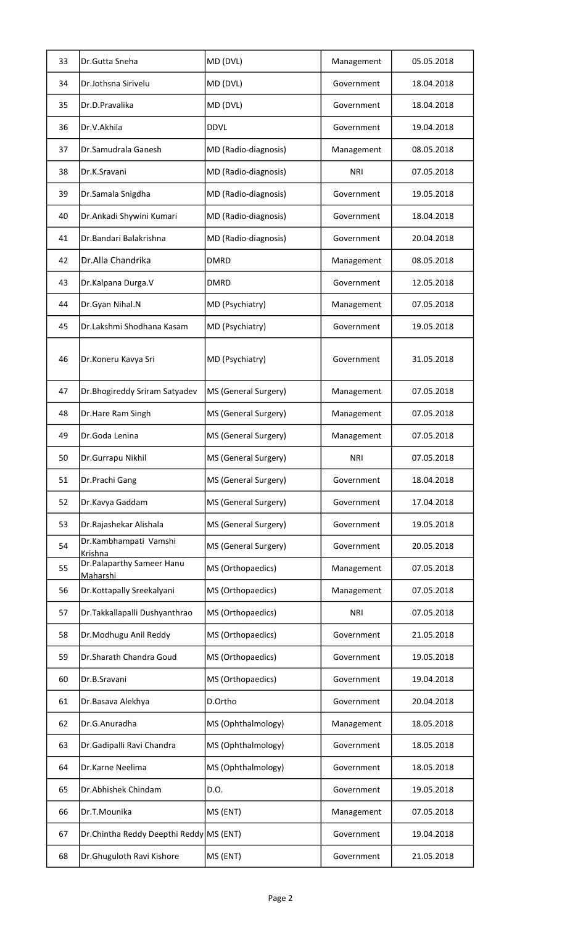| 33 | Dr.Gutta Sneha                               | MD (DVL)             | Management | 05.05.2018 |
|----|----------------------------------------------|----------------------|------------|------------|
| 34 | Dr.Jothsna Sirivelu                          | MD (DVL)             | Government | 18.04.2018 |
| 35 | Dr.D.Pravalika                               | MD (DVL)             | Government | 18.04.2018 |
| 36 | Dr.V.Akhila                                  | <b>DDVL</b>          | Government | 19.04.2018 |
| 37 | Dr.Samudrala Ganesh                          | MD (Radio-diagnosis) | Management | 08.05.2018 |
| 38 | Dr.K.Sravani                                 | MD (Radio-diagnosis) | <b>NRI</b> | 07.05.2018 |
| 39 | Dr.Samala Snigdha                            | MD (Radio-diagnosis) | Government | 19.05.2018 |
| 40 | Dr.Ankadi Shywini Kumari                     | MD (Radio-diagnosis) | Government | 18.04.2018 |
| 41 | Dr.Bandari Balakrishna                       | MD (Radio-diagnosis) | Government | 20.04.2018 |
| 42 | Dr.Alla Chandrika                            | <b>DMRD</b>          | Management | 08.05.2018 |
| 43 | Dr.Kalpana Durga.V                           | <b>DMRD</b>          | Government | 12.05.2018 |
| 44 | Dr.Gyan Nihal.N                              | MD (Psychiatry)      | Management | 07.05.2018 |
| 45 | Dr.Lakshmi Shodhana Kasam                    | MD (Psychiatry)      | Government | 19.05.2018 |
| 46 | Dr.Koneru Kavya Sri                          | MD (Psychiatry)      | Government | 31.05.2018 |
| 47 | Dr. Bhogireddy Sriram Satyadev               | MS (General Surgery) | Management | 07.05.2018 |
| 48 | Dr.Hare Ram Singh                            | MS (General Surgery) | Management | 07.05.2018 |
| 49 | Dr.Goda Lenina                               | MS (General Surgery) | Management | 07.05.2018 |
| 50 | Dr.Gurrapu Nikhil                            | MS (General Surgery) | <b>NRI</b> | 07.05.2018 |
| 51 | Dr.Prachi Gang                               | MS (General Surgery) | Government | 18.04.2018 |
| 52 | Dr.Kavya Gaddam                              | MS (General Surgery) | Government | 17.04.2018 |
| 53 | Dr.Rajashekar Alishala                       | MS (General Surgery) | Government | 19.05.2018 |
| 54 | Dr.Kambhampati Vamshi<br>Krishna             | MS (General Surgery) | Government | 20.05.2018 |
| 55 | Dr.Palaparthy Sameer Hanu<br><u>Maharshi</u> | MS (Orthopaedics)    | Management | 07.05.2018 |
| 56 | Dr.Kottapally Sreekalyani                    | MS (Orthopaedics)    | Management | 07.05.2018 |
| 57 | Dr. Takkallapalli Dushyanthrao               | MS (Orthopaedics)    | <b>NRI</b> | 07.05.2018 |
| 58 | Dr.Modhugu Anil Reddy                        | MS (Orthopaedics)    | Government | 21.05.2018 |
| 59 | Dr.Sharath Chandra Goud                      | MS (Orthopaedics)    | Government | 19.05.2018 |
| 60 | Dr.B.Sravani                                 | MS (Orthopaedics)    | Government | 19.04.2018 |
| 61 | Dr.Basava Alekhya                            | D.Ortho              | Government | 20.04.2018 |
| 62 | Dr.G.Anuradha                                | MS (Ophthalmology)   | Management | 18.05.2018 |
| 63 | Dr.Gadipalli Ravi Chandra                    | MS (Ophthalmology)   | Government | 18.05.2018 |
| 64 | Dr.Karne Neelima                             | MS (Ophthalmology)   | Government | 18.05.2018 |
| 65 | Dr.Abhishek Chindam                          | D.O.                 | Government | 19.05.2018 |
| 66 | Dr.T.Mounika                                 | MS (ENT)             | Management | 07.05.2018 |
| 67 | Dr.Chintha Reddy Deepthi Reddy MS (ENT)      |                      | Government | 19.04.2018 |
| 68 | Dr.Ghuguloth Ravi Kishore                    | MS (ENT)             | Government | 21.05.2018 |